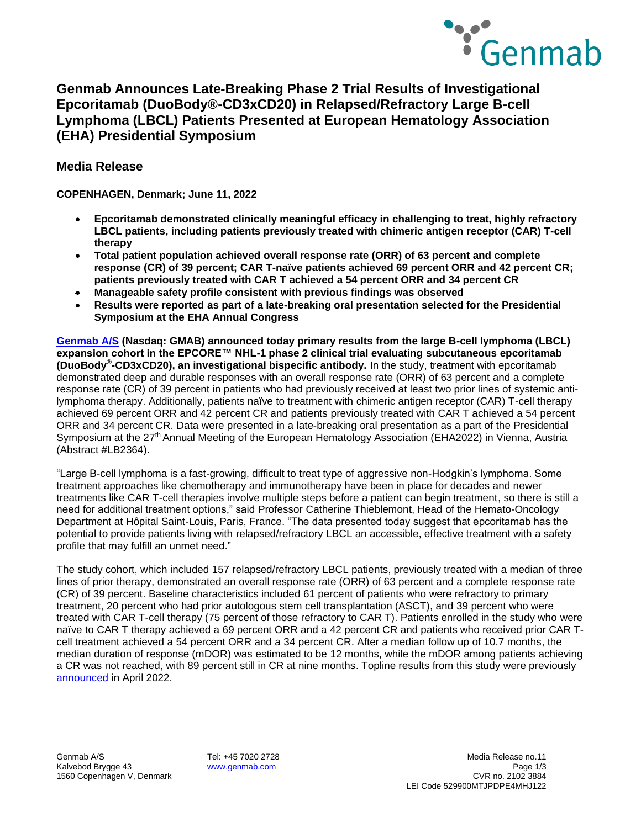

**Epcoritamab (DuoBody®-CD3xCD20) in Relapsed/Refractory Large B-cell Lymphoma (LBCL) Patients Presented at European Hematology Association (EHA) Presidential Symposium** 

## **Media Release**

**COPENHAGEN, Denmark; June 11, 2022** 

- **Epcoritamab demonstrated clinically meaningful efficacy in challenging to treat, highly refractory LBCL patients, including patients previously treated with chimeric antigen receptor (CAR) T-cell therapy**
- **Total patient population achieved overall response rate (ORR) of 63 percent and complete response (CR) of 39 percent; CAR T-naïve patients achieved 69 percent ORR and 42 percent CR; patients previously treated with CAR T achieved a 54 percent ORR and 34 percent CR**
- **Manageable safety profile consistent with previous findings was observed**
- **Results were reported as part of a late-breaking oral presentation selected for the Presidential Symposium at the EHA Annual Congress**

**[Genmab A/S](http://www.genmab.com/) (Nasdaq: GMAB) announced today primary results from the large B-cell lymphoma (LBCL) expansion cohort in the EPCORE™ NHL-1 phase 2 clinical trial evaluating subcutaneous epcoritamab (DuoBody® -CD3xCD20), an investigational bispecific antibody.** In the study, treatment with epcoritamab demonstrated deep and durable responses with an overall response rate (ORR) of 63 percent and a complete response rate (CR) of 39 percent in patients who had previously received at least two prior lines of systemic antilymphoma therapy. Additionally, patients naïve to treatment with chimeric antigen receptor (CAR) T-cell therapy achieved 69 percent ORR and 42 percent CR and patients previously treated with CAR T achieved a 54 percent ORR and 34 percent CR. Data were presented in a late-breaking oral presentation as a part of the Presidential Symposium at the 27<sup>th</sup> Annual Meeting of the European Hematology Association (EHA2022) in Vienna, Austria (Abstract #LB2364).

"Large B-cell lymphoma is a fast-growing, difficult to treat type of aggressive non-Hodgkin's lymphoma. Some treatment approaches like chemotherapy and immunotherapy have been in place for decades and newer treatments like CAR T-cell therapies involve multiple steps before a patient can begin treatment, so there is still a need for additional treatment options," said Professor Catherine Thieblemont, Head of the Hemato-Oncology Department at Hôpital Saint-Louis, Paris, France. "The data presented today suggest that epcoritamab has the potential to provide patients living with relapsed/refractory LBCL an accessible, effective treatment with a safety profile that may fulfill an unmet need."

The study cohort, which included 157 relapsed/refractory LBCL patients, previously treated with a median of three lines of prior therapy, demonstrated an overall response rate (ORR) of 63 percent and a complete response rate (CR) of 39 percent. Baseline characteristics included 61 percent of patients who were refractory to primary treatment, 20 percent who had prior autologous stem cell transplantation (ASCT), and 39 percent who were treated with CAR T-cell therapy (75 percent of those refractory to CAR T). Patients enrolled in the study who were naïve to CAR T therapy achieved a 69 percent ORR and a 42 percent CR and patients who received prior CAR Tcell treatment achieved a 54 percent ORR and a 34 percent CR. After a median follow up of 10.7 months, the median duration of response (mDOR) was estimated to be 12 months, while the mDOR among patients achieving a CR was not reached, with 89 percent still in CR at nine months. Topline results from this study were previously [announced](https://www.globenewswire.com/news-release/2022/04/13/2422335/0/en/Genmab-and-AbbVie-Announce-Topline-Results-for-Epcoritamab-DuoBody-CD3xCD20-From-Phase-1-2-Trial-in-Patients-with-Relapsed-Refractory-Large-B-cell-Lymphoma-LBCL.html) in April 2022.

1560 Copenhagen V, Denmark

Genmab A/S Tel: +45 7020 2728 Media Release no.11 Kalvebod Brygge 43 **[www.genmab.com](http://www.genmab.com/) Page 1/3** Page 1/3<br>1560 Copenhagen V. Denmark Page 1/3 Page 1/3 Page 1/3 Page 1/3 Page 1/3 Page 1/3 Page 1/3 Page 1/3 Page 1/3 Pag LEI Code 529900MTJPDPE4MHJ122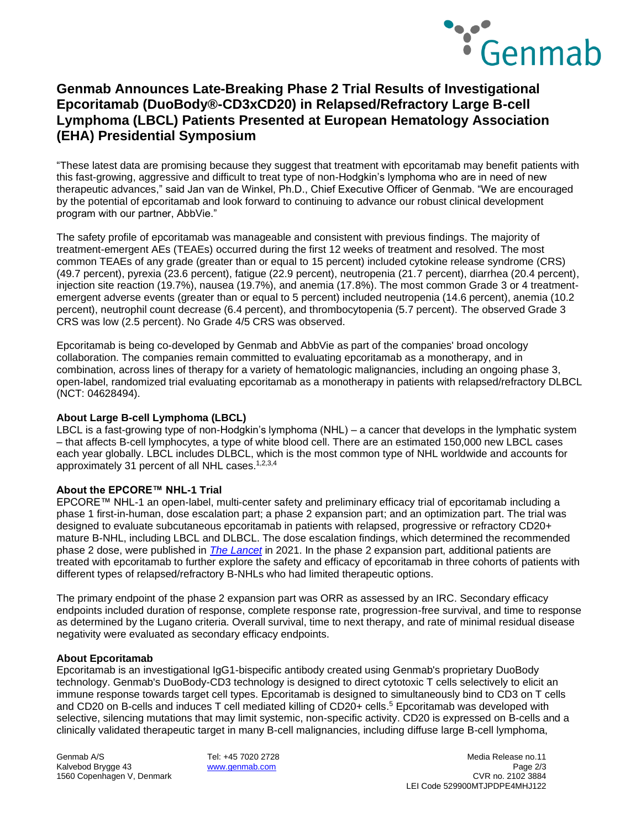

# **Genmab Announces Late-Breaking Phase 2 Trial Results of Investigational Epcoritamab (DuoBody®-CD3xCD20) in Relapsed/Refractory Large B-cell Lymphoma (LBCL) Patients Presented at European Hematology Association (EHA) Presidential Symposium**

"These latest data are promising because they suggest that treatment with epcoritamab may benefit patients with this fast-growing, aggressive and difficult to treat type of non-Hodgkin's lymphoma who are in need of new therapeutic advances," said Jan van de Winkel, Ph.D., Chief Executive Officer of Genmab. "We are encouraged by the potential of epcoritamab and look forward to continuing to advance our robust clinical development program with our partner, AbbVie."

The safety profile of epcoritamab was manageable and consistent with previous findings. The majority of treatment-emergent AEs (TEAEs) occurred during the first 12 weeks of treatment and resolved. The most common TEAEs of any grade (greater than or equal to 15 percent) included cytokine release syndrome (CRS) (49.7 percent), pyrexia (23.6 percent), fatigue (22.9 percent), neutropenia (21.7 percent), diarrhea (20.4 percent), injection site reaction (19.7%), nausea (19.7%), and anemia (17.8%). The most common Grade 3 or 4 treatmentemergent adverse events (greater than or equal to 5 percent) included neutropenia (14.6 percent), anemia (10.2 percent), neutrophil count decrease (6.4 percent), and thrombocytopenia (5.7 percent). The observed Grade 3 CRS was low (2.5 percent). No Grade 4/5 CRS was observed.

Epcoritamab is being co-developed by Genmab and AbbVie as part of the companies' broad oncology collaboration. The companies remain committed to evaluating epcoritamab as a monotherapy, and in combination, across lines of therapy for a variety of hematologic malignancies, including an ongoing phase 3, open-label, randomized trial evaluating epcoritamab as a monotherapy in patients with relapsed/refractory DLBCL (NCT: 04628494).

### **About Large B-cell Lymphoma (LBCL)**

LBCL is a fast-growing type of non-Hodgkin's lymphoma (NHL) – a cancer that develops in the lymphatic system – that affects B-cell lymphocytes, a type of white blood cell. There are an estimated 150,000 new LBCL cases each year globally. LBCL includes DLBCL, which is the most common type of NHL worldwide and accounts for approximately 31 percent of all NHL cases.<sup>1,2,3,4</sup>

## **About the EPCORE™ NHL-1 Trial**

EPCORE™ NHL-1 an open-label, multi-center safety and preliminary efficacy trial of epcoritamab including a phase 1 first-in-human, dose escalation part; a phase 2 expansion part; and an optimization part. The trial was designed to evaluate subcutaneous epcoritamab in patients with relapsed, progressive or refractory CD20+ mature B-NHL, including LBCL and DLBCL. The dose escalation findings, which determined the recommended phase 2 dose, were published in *[The Lancet](https://c212.net/c/link/?t=0&l=en&o=3504913-1&h=1134591960&u=https%3A%2F%2Fwww.thelancet.com%2Fjournals%2Flancet%2Farticle%2FPIIS0140-6736(21)00889-8%2Ffulltext&a=The+Lancet)* in 2021. In the phase 2 expansion part, additional patients are treated with epcoritamab to further explore the safety and efficacy of epcoritamab in three cohorts of patients with different types of relapsed/refractory B-NHLs who had limited therapeutic options.

The primary endpoint of the phase 2 expansion part was ORR as assessed by an IRC. Secondary efficacy endpoints included duration of response, complete response rate, progression-free survival, and time to response as determined by the Lugano criteria. Overall survival, time to next therapy, and rate of minimal residual disease negativity were evaluated as secondary efficacy endpoints.

### **About Epcoritamab**

Epcoritamab is an investigational IgG1-bispecific antibody created using Genmab's proprietary DuoBody technology. Genmab's DuoBody-CD3 technology is designed to direct cytotoxic T cells selectively to elicit an immune response towards target cell types. Epcoritamab is designed to simultaneously bind to CD3 on T cells and CD20 on B-cells and induces T cell mediated killing of CD20+ cells. <sup>5</sup> Epcoritamab was developed with selective, silencing mutations that may limit systemic, non-specific activity. CD20 is expressed on B-cells and a clinically validated therapeutic target in many B-cell malignancies, including diffuse large B-cell lymphoma,

1560 Copenhagen V, Denmark

Genmab A/S Tel: +45 7020 2728 Media Release no.11 Kalvebod Brygge 43 **[www.genmab.com](http://www.genmab.com/) Page 2/3** Page 2/3<br>1560 Copenhagen V. Denmark **www.genmab.com** Page 2/3 Page 2/3 LEI Code 529900MTJPDPE4MHJ122